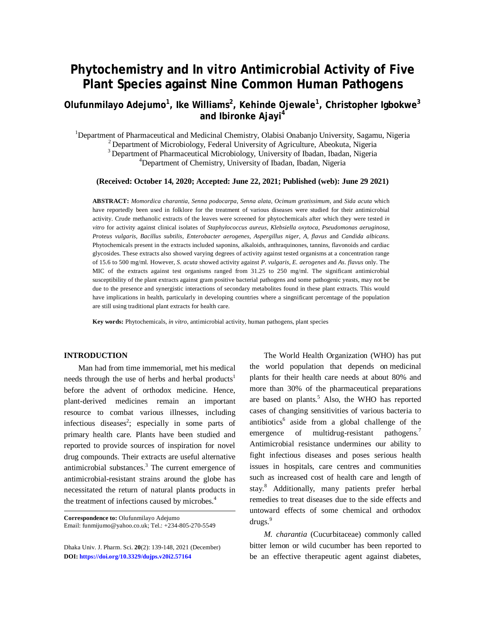# **Phytochemistry and** *In vitro* **Antimicrobial Activity of Five Plant Species against Nine Common Human Pathogens**

## **Olufunmilayo Adejumo<sup>1</sup> , Ike Williams<sup>2</sup> , Kehinde Ojewale<sup>1</sup> , Christopher Igbokwe<sup>3</sup> and Ibironke Ajayi<sup>4</sup>**

<sup>1</sup>Department of Pharmaceutical and Medicinal Chemistry, Olabisi Onabanjo University, Sagamu, Nigeria  $2$  Department of Microbiology, Federal University of Agriculture, Abeokuta, Nigeria <sup>3</sup> Department of Pharmaceutical Microbiology, University of Ibadan, Ibadan, Nigeria <sup>4</sup>Department of Chemistry, University of Ibadan, Ibadan, Nigeria

**(Received: October 14, 2020; Accepted: June 22, 2021; Published (web): June 29 2021)**

**ABSTRACT:** *Momordica charantia*, *Senna podocarpa*, *Senna alata*, *Ocimum gratissimum*, and *Sida acuta* which have reportedly been used in folklore for the treatment of various diseases were studied for their antimicrobial activity. Crude methanolic extracts of the leaves were screened for phytochemicals after which they were tested *in vitro* for activity against clinical isolates of *Staphylococcus aureus, Klebsiella oxytoca, Pseudomonas aeruginosa, Proteus vulgaris, Bacillus subtilis, Enterobacter aerogenes, Aspergillus niger, A, flavus* and *Candida albicans.* Phytochemicals present in the extracts included saponins, alkaloids, anthraquinones, tannins, flavonoids and cardiac glycosides. These extracts also showed varying degrees of activity against tested organisms at a concentration range of 15.6 to 500 mg/ml. However, *S. acuta* showed activity against *P. vulgaris*, *E. aerogenes* and *As. flavus* only*.* The MIC of the extracts against test organisms ranged from 31.25 to 250 mg/ml. The significant antimicrobial susceptibility of the plant extracts against gram positive bacterial pathogens and some pathogenic yeasts, may not be due to the presence and synergistic interactions of secondary metabolites found in these plant extracts. This would have implications in health, particularly in developing countries where a singnificant percentage of the population are still using traditional plant extracts for health care.

**Key words:** Phytochemicals, *in vitro*, antimicrobial activity, human pathogens, plant species

#### **INTRODUCTION**

Man had from time immemorial, met his medical needs through the use of herbs and herbal products<sup>1</sup> before the advent of orthodox medicine. Hence, plant-derived medicines remain an important resource to combat various illnesses, including infectious diseases<sup>2</sup>; especially in some parts of primary health care. Plants have been studied and reported to provide sources of inspiration for novel drug compounds. Their extracts are useful alternative antimicrobial substances.<sup>3</sup> The current emergence of antimicrobial-resistant strains around the globe has necessitated the return of natural plants products in the treatment of infections caused by microbes.<sup>4</sup>

**Correspondence to:** Olufunmilayo Adejumo Email: [funmijumo@yahoo.co.uk;](mailto:funmijumo@yahoo.co.uk;) Tel.: +234-805-270-5549

Dhaka Univ. J. Pharm. Sci. **20**(2): 139-148, 2021 (December) **DOI:<https://doi.org/10.3329/dujps.v20i2.57164>** 

The World Health Organization (WHO) has put the world population that depends on medicinal plants for their health care needs at about 80% and more than 30% of the pharmaceutical preparations are based on plants.<sup>5</sup> Also, the WHO has reported cases of changing sensitivities of various bacteria to antibiotics<sup>6</sup> aside from a global challenge of the emergence of multidrug-resistant pathogens.<sup>7</sup> Antimicrobial resistance undermines our ability to fight infectious diseases and poses serious health issues in hospitals, care centres and communities such as increased cost of health care and length of stay. <sup>8</sup> Additionally, many patients prefer herbal remedies to treat diseases due to the side effects and untoward effects of some chemical and orthodox drugs.<sup>9</sup>

*M. charantia* (Cucurbitaceae) commonly called bitter lemon or wild cucumber has been reported to be an effective therapeutic agent against diabetes,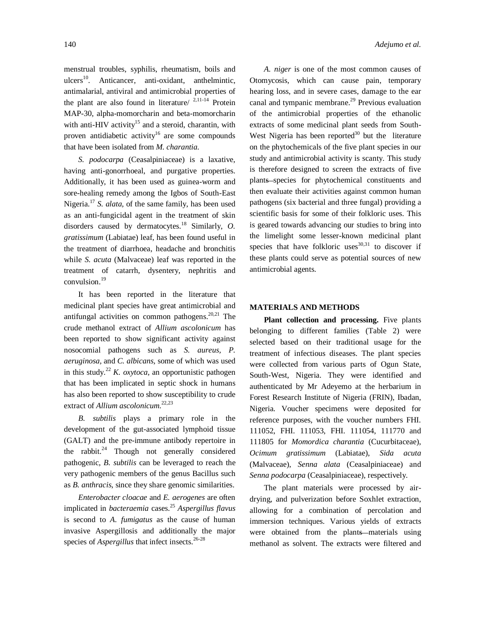menstrual troubles, syphilis, rheumatism, boils and ulcers<sup>10</sup>. Anticancer, anti-oxidant, anthelmintic, antimalarial, antiviral and antimicrobial properties of the plant are also found in literature/  $2,11-14$  Protein MAP-30, alpha-momorcharin and beta-momorcharin with anti-HIV activity<sup>15</sup> and a steroid, charantin, with proven antidiabetic activity<sup>16</sup> are some compounds that have been isolated from *M. charantia*.

*S. podocarpa* (Ceasalpiniaceae) is a laxative, having anti-gonorrhoeal, and purgative properties. Additionally, it has been used as guinea-worm and sore-healing remedy among the Igbos of South-East Nigeria. <sup>17</sup> *S. alata,* of the same family, has been used as an anti-fungicidal agent in the treatment of skin disorders caused by dermatocytes. 18 Similarly, *O. gratissimum* (Labiatae) leaf, has been found useful in the treatment of diarrhoea, headache and bronchitis while *S. acuta* (Malvaceae) leaf was reported in the treatment of catarrh, dysentery, nephritis and convulsion. 19

It has been reported in the literature that medicinal plant species have great antimicrobial and antifungal activities on common pathogens.<sup>20,21</sup> The crude methanol extract of *Allium ascolonicum* has been reported to show significant activity against nosocomial pathogens such as *S. aureus, P. aeruginosa,* and *C. albicans,* some of which was used in this study. <sup>22</sup> *K. oxytoca,* an opportunistic pathogen that has been implicated in septic shock in humans has also been reported to show susceptibility to crude extract of *Allium ascolonicum*. 22,23

*B. subtilis* plays a primary role in the development of the gut-associated lymphoid tissue (GALT) and the pre-immune antibody repertoire in the rabbit.<sup>24</sup> Though not generally considered pathogenic, *B. subtilis* can be leveraged to reach the very pathogenic members of the genus Bacillus such as *B. anthracis*, since they share genomic similarities.

*Enterobacter cloacae* and *E. aerogenes* are often implicated in *bacteraemia* cases. <sup>25</sup> *Aspergillus flavus* is second to *A. fumigatus* as the cause of human invasive Aspergillosis and additionally the major species of *Aspergillus* that infect insects. 26-28

*A. niger* is one of the most common causes of Otomycosis, which can cause pain, temporary hearing loss, and in severe cases, damage to the ear canal and tympanic membrane.<sup>29</sup> Previous evaluation of the antimicrobial properties of the ethanolic extracts of some medicinal plant seeds from South-West Nigeria has been reported $30$  but the literature on the phytochemicals of the five plant species in our study and antimicrobial activity is scanty. This study is therefore designed to screen the extracts of five plants species for phytochemical constituents and then evaluate their activities against common human pathogens (six bacterial and three fungal) providing a scientific basis for some of their folkloric uses. This is geared towards advancing our studies to bring into the limelight some lesser-known medicinal plant species that have folkloric uses $^{30,31}$  to discover if these plants could serve as potential sources of new antimicrobial agents.

#### **MATERIALS AND METHODS**

**Plant collection and processing.** Five plants belonging to different families (Table 2) were selected based on their traditional usage for the treatment of infectious diseases. The plant species were collected from various parts of Ogun State, South-West, Nigeria. They were identified and authenticated by Mr Adeyemo at the herbarium in Forest Research Institute of Nigeria (FRIN), Ibadan, Nigeria. Voucher specimens were deposited for reference purposes, with the voucher numbers FHI. 111052, FHI. 111053, FHI. 111054, 111770 and 111805 for *Momordica charantia* (Cucurbitaceae), *Ocimum gratissimum* (Labiatae), *Sida acuta* (Malvaceae), *Senna alata* (Ceasalpiniaceae) and *Senna podocarpa* (Ceasalpiniaceae), respectively.

The plant materials were processed by airdrying, and pulverization before Soxhlet extraction, allowing for a combination of percolation and immersion techniques. Various yields of extracts were obtained from the plants-materials using methanol as solvent. The extracts were filtered and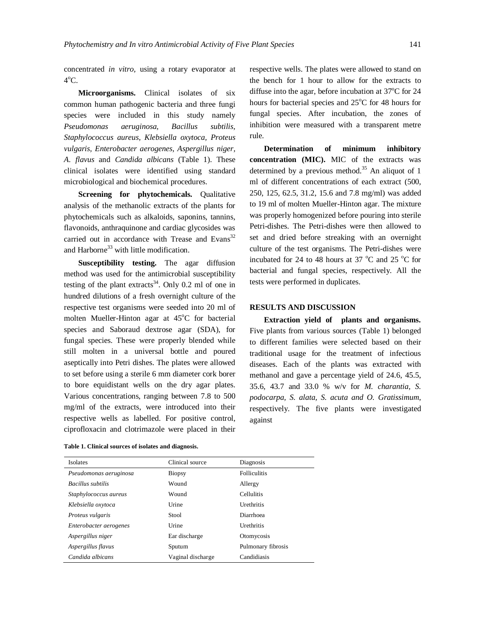concentrated *in vitro,* using a rotary evaporator at  $4^{\circ}$ C.

**Microorganisms.** Clinical isolates of six common human pathogenic bacteria and three fungi species were included in this study namely *Pseudomonas aeruginosa, Bacillus subtilis, Staphylococcus aureus, Klebsiella oxytoca, Proteus vulgaris, Enterobacter aerogenes, Aspergillus niger, A. flavus* and *Candida albicans* (Table 1). These clinical isolates were identified using standard microbiological and biochemical procedures.

**Screening for phytochemicals.** Qualitative analysis of the methanolic extracts of the plants for phytochemicals such as alkaloids, saponins, tannins, flavonoids, anthraquinone and cardiac glycosides was carried out in accordance with Trease and Evans<sup>32</sup> and Harborne<sup>33</sup> with little modification.

**Susceptibility testing.** The agar diffusion method was used for the antimicrobial susceptibility testing of the plant extracts<sup>34</sup>. Only 0.2 ml of one in hundred dilutions of a fresh overnight culture of the respective test organisms were seeded into 20 ml of molten Mueller-Hinton agar at  $45^{\circ}$ C for bacterial species and Saboraud dextrose agar (SDA), for fungal species. These were properly blended while still molten in a universal bottle and poured aseptically into Petri dishes. The plates were allowed to set before using a sterile 6 mm diameter cork borer to bore equidistant wells on the dry agar plates. Various concentrations, ranging between 7.8 to 500 mg/ml of the extracts, were introduced into their respective wells as labelled. For positive control, ciprofloxacin and clotrimazole were placed in their

|  |  |  |  |  |  | Table 1. Clinical sources of isolates and diagnosis. |
|--|--|--|--|--|--|------------------------------------------------------|
|--|--|--|--|--|--|------------------------------------------------------|

respective wells. The plates were allowed to stand on the bench for 1 hour to allow for the extracts to diffuse into the agar, before incubation at  $37^{\circ}$ C for 24 hours for bacterial species and  $25^{\circ}$ C for 48 hours for fungal species. After incubation, the zones of inhibition were measured with a transparent metre rule.

**Determination of minimum inhibitory concentration (MIC).** MIC of the extracts was determined by a previous method. <sup>35</sup> An aliquot of 1 ml of different concentrations of each extract (500, 250, 125, 62.5, 31.2, 15.6 and 7.8 mg/ml) was added to 19 ml of molten Mueller-Hinton agar. The mixture was properly homogenized before pouring into sterile Petri-dishes. The Petri-dishes were then allowed to set and dried before streaking with an overnight culture of the test organisms. The Petri-dishes were incubated for 24 to 48 hours at 37  $^{\circ}$ C and 25  $^{\circ}$ C for bacterial and fungal species, respectively. All the tests were performed in duplicates.

#### **RESULTS AND DISCUSSION**

**Extraction yield of plants and organisms.** Five plants from various sources (Table 1) belonged to different families were selected based on their traditional usage for the treatment of infectious diseases. Each of the plants was extracted with methanol and gave a percentage yield of 24.6, 45.5, 35.6, 43.7 and 33.0 % w/v for *M. charantia, S. podocarpa, S. alata, S. acuta and O. Gratissimum*, respectively. The five plants were investigated against

| Isolates               | Clinical source   | Diagnosis           |
|------------------------|-------------------|---------------------|
| Pseudomonas aeruginosa | <b>Biopsy</b>     | <b>Folliculitis</b> |
| Bacillus subtilis      | Wound             | Allergy             |
| Staphylococcus aureus  | Wound             | <b>Cellulitis</b>   |
| Klebsiella oxytoca     | Urine             | Urethritis          |
| Proteus vulgaris       | Stool             | Diarrhoea           |
| Enterobacter aerogenes | Urine             | Urethritis          |
| Aspergillus niger      | Ear discharge     | Otomycosis          |
| Aspergillus flavus     | Sputum            | Pulmonary fibrosis  |
| Candida albicans       | Vaginal discharge | Candidiasis         |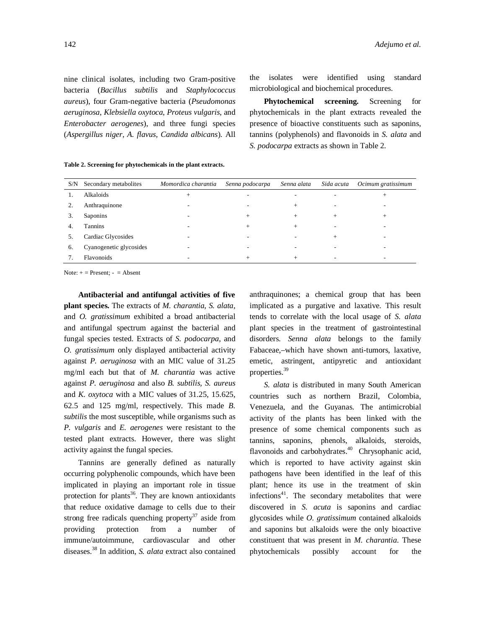nine clinical isolates, including two Gram-positive bacteria (*Bacillus subtilis* and *Staphylococcus aureus*), four Gram-negative bacteria (*Pseudomonas aeruginosa*, *Klebsiella oxytoca*, *Proteus vulgaris*, and *Enterobacter aerogenes*), and three fungi species (*Aspergillus niger*, *A. flavus, Candida albicans*)*.* All

**Table 2. Screening for phytochemicals in the plant extracts.**

the isolates were identified using standard microbiological and biochemical procedures.

**Phytochemical screening.** Screening for phytochemicals in the plant extracts revealed the presence of bioactive constituents such as saponins, tannins (polyphenols) and flavonoids in *S. alata* and *S. podocarpa* extracts as shown in Table 2.

| S/N | Secondary metabolites   | Momordica charantia      | Senna podocarpa | Senna alata              | Sida acuta | Ocimum gratissimum |
|-----|-------------------------|--------------------------|-----------------|--------------------------|------------|--------------------|
|     | Alkaloids               | $+$                      |                 | -                        |            | $^+$               |
|     | Anthraquinone           | $\overline{\phantom{a}}$ |                 | $^{+}$                   |            |                    |
| 3.  | Saponins                | ۰                        | $^+$            | $^{+}$                   | $^{+}$     | $^+$               |
| 4.  | Tannins                 | $\overline{\phantom{a}}$ | $^+$            | $^{+}$                   |            |                    |
| כ.  | Cardiac Glycosides      |                          |                 |                          | $^{+}$     |                    |
| 6.  | Cyanogenetic glycosides |                          |                 | $\overline{\phantom{0}}$ |            |                    |
|     | Flavonoids              | ۰                        | $^+$            | $^{+}$                   |            | -                  |
|     |                         |                          |                 |                          |            |                    |

Note:  $+$  = Present:  $-$  = Absent

**Antibacterial and antifungal activities of five plant species.** The extracts of *M. charantia*, *S. alata*, and *O. gratissimum* exhibited a broad antibacterial and antifungal spectrum against the bacterial and fungal species tested. Extracts of *S. podocarpa*, and *O. gratissimum* only displayed antibacterial activity against *P. aeruginosa* with an MIC value of 31.25 mg/ml each but that of *M. charantia* was active against *P. aeruginosa* and also *B. subtilis, S. aureus*  and *K. oxytoca* with a MIC values of 31.25, 15.625, 62.5 and 125 mg/ml, respectively. This made *B. subtilis* the most susceptible, while organisms such as *P. vulgaris* and *E. aerogenes* were resistant to the tested plant extracts. However, there was slight activity against the fungal species.

Tannins are generally defined as naturally occurring polyphenolic compounds, which have been implicated in playing an important role in tissue protection for plants<sup>36</sup>. They are known antioxidants that reduce oxidative damage to cells due to their strong free radicals quenching property $37$  aside from providing protection from a number of immune/autoimmune, cardiovascular and other diseases. <sup>38</sup> In addition, *S. alata* extract also contained anthraquinones; a chemical group that has been implicated as a purgative and laxative. This result tends to correlate with the local usage of *S. alata* plant species in the treatment of gastrointestinal disorders. *Senna alata* belongs to the family Fabaceae, which have shown anti-tumors, laxative, emetic, astringent, antipyretic and antioxidant properties. 39

*S. alata* is distributed in many South American countries such as northern Brazil, Colombia, Venezuela, and the Guyanas. The antimicrobial activity of the plants has been linked with the presence of some chemical components such as tannins, saponins, phenols, alkaloids, steroids, flavonoids and carbohydrates.<sup>40</sup> Chrysophanic acid, which is reported to have activity against skin pathogens have been identified in the leaf of this plant; hence its use in the treatment of skin infections<sup>41</sup>. The secondary metabolites that were discovered in *S. acuta* is saponins and cardiac glycosides while *O. gratissimum* contained alkaloids and saponins but alkaloids were the only bioactive constituent that was present in *M. charantia*. These phytochemicals possibly account for the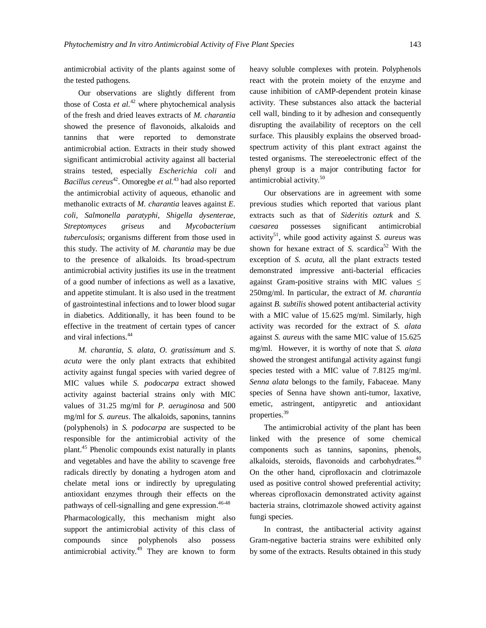antimicrobial activity of the plants against some of the tested pathogens.

Our observations are slightly different from those of Costa *et al.*<sup>42</sup> where phytochemical analysis of the fresh and dried leaves extracts of *M. charantia*  showed the presence of flavonoids, alkaloids and tannins that were reported to demonstrate antimicrobial action. Extracts in their study showed significant antimicrobial activity against all bacterial strains tested, especially *Escherichia coli* and *Bacillus cereus* <sup>42</sup>. Omoregbe *et al.*<sup>43</sup> had also reported the antimicrobial activity of aqueous, ethanolic and methanolic extracts of *M. charantia* leaves against *E. coli, Salmonella paratyphi, Shigella dysenterae, Streptomyces griseus* and *Mycobacterium tuberculosis*; organisms different from those used in this study. The activity of *M. charantia* may be due to the presence of alkaloids. Its broad-spectrum antimicrobial activity justifies its use in the treatment of a good number of infections as well as a laxative, and appetite stimulant. It is also used in the treatment of gastrointestinal infections and to lower blood sugar in diabetics. Additionally, it has been found to be effective in the treatment of certain types of cancer and viral infections. 44

*M. charantia*, *S. alata*, *O. gratissimum* and *S. acuta* were the only plant extracts that exhibited activity against fungal species with varied degree of MIC values while *S. podocarpa* extract showed activity against bacterial strains only with MIC values of 31.25 mg/ml for *P. aeruginosa* and 500 mg/ml for *S. aureus*. The alkaloids, saponins, tannins (polyphenols) in *S. podocarpa* are suspected to be responsible for the antimicrobial activity of the plant. <sup>45</sup> Phenolic compounds exist naturally in plants and vegetables and have the ability to scavenge free radicals directly by donating a hydrogen atom and chelate metal ions or indirectly by upregulating antioxidant enzymes through their effects on the pathways of cell-signalling and gene expression. 46-48

Pharmacologically, this mechanism might also support the antimicrobial activity of this class of compounds since polyphenols also possess antimicrobial activity. <sup>49</sup> They are known to form heavy soluble complexes with protein. Polyphenols react with the protein moiety of the enzyme and cause inhibition of cAMP-dependent protein kinase activity. These substances also attack the bacterial cell wall, binding to it by adhesion and consequently disrupting the availability of receptors on the cell surface. This plausibly explains the observed broadspectrum activity of this plant extract against the tested organisms. The stereoelectronic effect of the phenyl group is a major contributing factor for antimicrobial activity. 50

Our observations are in agreement with some previous studies which reported that various plant extracts such as that of *Sideritis ozturk* and *S. caesarea* possesses significant antimicrobial activity<sup>51</sup> , while good activity against *S. aureus* was shown for hexane extract of *S*. scardica<sup>52</sup> With the exception of *S. acuta,* all the plant extracts tested demonstrated impressive anti-bacterial efficacies against Gram-positive strains with MIC values  $\leq$ 250mg/ml. In particular, the extract of *M. charantia* against *B. subtilis* showed potent antibacterial activity with a MIC value of 15.625 mg/ml. Similarly, high activity was recorded for the extract of *S. alata* against *S. aureus* with the same MIC value of 15.625 mg/ml. However, it is worthy of note that *S. alata* showed the strongest antifungal activity against fungi species tested with a MIC value of 7.8125 mg/ml. *Senna alata* belongs to the family, Fabaceae. Many species of Senna have shown anti-tumor, laxative, emetic, astringent, antipyretic and antioxidant properties. 39

The antimicrobial activity of the plant has been linked with the presence of some chemical components such as tannins, saponins, phenols, alkaloids, steroids, flavonoids and carbohydrates.<sup>40</sup> On the other hand, ciprofloxacin and clotrimazole used as positive control showed preferential activity; whereas ciprofloxacin demonstrated activity against bacteria strains, clotrimazole showed activity against fungi species.

In contrast, the antibacterial activity against Gram-negative bacteria strains were exhibited only by some of the extracts. Results obtained in this study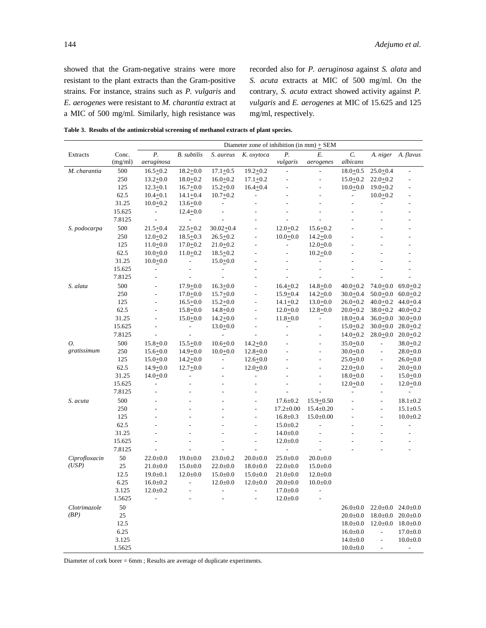showed that the Gram-negative strains were more resistant to the plant extracts than the Gram-positive strains. For instance, strains such as *P. vulgaris* and *E. aerogenes* were resistant to *M. charantia* extract at a MIC of 500 mg/ml. Similarly, high resistance was

recorded also for *P. aeruginosa* against *S. alata* and *S. acuta* extracts at MIC of 500 mg/ml. On the contrary, *S. acuta* extract showed activity against *P. vulgaris* and *E. aerogenes* at MIC of 15.625 and 125 mg/ml, respectively.

**Table 3. Results of the antimicrobial screening of methanol extracts of plant species.**

|               |         |                          | Diameter zone of inhibition $(in mm) + SEM$ |                          |                          |                          |                          |                          |                          |                |
|---------------|---------|--------------------------|---------------------------------------------|--------------------------|--------------------------|--------------------------|--------------------------|--------------------------|--------------------------|----------------|
| Extracts      | Conc.   | Р.                       | <b>B.</b> subtilis                          | S. aureus                | K. oxytoca               | Р.                       | E.                       | C.                       | A. niger                 | A. flavus      |
|               | (mg/ml) | aeruginosa               |                                             |                          |                          | vulgaris                 | aerogenes                | albicans                 |                          |                |
| M. charantia  | 500     | $16.5 + 0.2$             | $18.2 + 0.0$                                | $17.1 + 0.5$             | $19.2 + 0.2$             |                          | $\overline{\phantom{a}}$ | $18.0 + 0.5$             | $25.0 + 0.4$             |                |
|               | 250     | $13.2 + 0.0$             | $18.0+0.2$                                  | $16.0+0.2$               | $17.1 + 0.2$             |                          | $\overline{\phantom{m}}$ | $15.0+0.2$               | $22.0+0.2$               |                |
|               | 125     | $12.3 + 0.1$             | $16.7 + 0.0$                                | $15.2 + 0.0$             | $16.4 + 0.4$             |                          |                          | $10.0 + 0.0$             | $19.0 + 0.2$             |                |
|               | 62.5    | $10.4 + 0.1$             | $14.1 + 0.4$                                | $10.7 + 0.2$             | $\overline{a}$           |                          |                          | $\overline{\phantom{a}}$ | $10.0+0.2$               | L,             |
|               | 31.25   | $10.0+0.2$               | $13.6 + 0.0$                                |                          |                          |                          |                          |                          |                          |                |
|               | 15.625  | $\overline{\phantom{0}}$ | $12.4 + 0.0$                                | $\overline{a}$           |                          |                          |                          |                          |                          |                |
|               | 7.8125  | $\overline{\phantom{a}}$ | $\blacksquare$                              |                          |                          |                          |                          |                          |                          |                |
| S. podocarpa  | 500     | $21.5 + 0.4$             | $22.5 + 0.2$                                | $30.02 + 0.4$            |                          | $12.0 + 0.2$             | $15.6 + 0.2$             |                          |                          |                |
|               | 250     | $12.0+0.2$               | $18.5 + 0.3$                                | $26.5 + 0.2$             | $\overline{a}$           | $10.0 + 0.0$             | $14.2 + 0.0$             |                          |                          |                |
|               | 125     | $11.0+0.0$               | $17.0 + 0.2$                                | $21.0+0.2$               |                          | ÷,                       | $12.0+0.0$               |                          |                          |                |
|               | 62.5    | $10.0+0.0$               | $11.0 + 0.2$                                | $18.5 + 0.2$             |                          |                          | $10.2 + 0.0$             |                          |                          |                |
|               | 31.25   | $10.0+0.0$               | $\sim$                                      | $15.0+0.0$               |                          |                          |                          |                          |                          |                |
|               | 15.625  | $\overline{\phantom{a}}$ | ÷,                                          | $\overline{\phantom{a}}$ |                          |                          |                          |                          |                          |                |
|               | 7.8125  | $\overline{a}$           | ÷,                                          | $\overline{a}$           |                          | ÷.                       |                          |                          |                          |                |
| S. alata      | 500     | $\overline{\phantom{0}}$ | $17.9 + 0.0$                                | $16.3 + 0.0$             |                          | $16.4 + 0.2$             | $14.8 + 0.0$             | $40.0 + 0.2$             | $74.0 + 0.0$             | $69.0 + 0.2$   |
|               | 250     |                          | $17.0+0.0$                                  | $15.7 + 0.0$             |                          | $15.9 + 0.4$             | $14.2 + 0.0$             | 30.0 <u>+</u> 0.4        | $50.0 + 0.0$             | $60.0+0.2$     |
|               | 125     | $\overline{a}$           | $16.5 + 0.0$                                | $15.2 + 0.0$             | $\overline{a}$           | $14.1 + 0.2$             | $13.0+0.0$               | 26.0+0.2                 | $40.0 + 0.2$             | $44.0 + 0.4$   |
|               | 62.5    | $\overline{a}$           | $15.8 + 0.0$                                | $14.8 + 0.0$             | ÷                        | $12.0 + 0.0$             | $12.8 + 0.0$             | $20.0+0.2$               | $38.0 + 0.2$             | $40.0+0.2$     |
|               | 31.25   | $\overline{a}$           | $15.0 + 0.0$                                | $14.2 + 0.0$             | $\overline{a}$           | $11.8 + 0.0$             | $\overline{\phantom{a}}$ | $18.0 + 0.4$             | $36.0 + 0.0$             | $30.0 + 0.0$   |
|               | 15.625  |                          | $\blacksquare$                              | $13.0+0.0$               |                          | $\overline{\phantom{a}}$ | L.                       | $15.0+0.2$               | $30.0 + 0.0$             | $28.0+0.2$     |
|               | 7.8125  |                          | $\overline{\phantom{a}}$                    |                          |                          | ÷,                       | $\overline{a}$           | $14.0+0.2$               | $28.0 + 0.0$             | $20.0+0.2$     |
| 0.            | 500     | $15.8 + 0.0$             | $15.5 + 0.0$                                | $10.6 + 0.0$             | $14.2 + 0.0$             |                          |                          | $35.0 + 0.0$             | $\frac{1}{2}$            | $38.0 + 0.2$   |
| gratissimum   | 250     | $15.6 + 0.0$             | $14.9 + 0.0$                                | $10.0 + 0.0$             | $12.8 + 0.0$             |                          | ÷,                       | $30.0 + 0.0$             | $\overline{\phantom{a}}$ | $28.0 + 0.0$   |
|               | 125     | $15.0+0.0$               | $14.2 + 0.0$                                | $\overline{a}$           | $12.6 + 0.0$             |                          |                          | $25.0 + 0.0$             | $\overline{\phantom{a}}$ | $26.0 + 0.0$   |
|               | 62.5    | $14.9 + 0.0$             | $12.7+0.0$                                  | $\overline{\phantom{a}}$ | $12.0 + 0.0$             |                          | L,                       | $22.0 + 0.0$             | $\overline{\phantom{a}}$ | $20.0 + 0.0$   |
|               | 31.25   | $14.0 + 0.0$             |                                             |                          |                          |                          |                          | $18.0 + 0.0$             | $\overline{\phantom{a}}$ | $15.0+0.0$     |
|               | 15.625  | $\overline{a}$           |                                             | L,                       |                          |                          | $\overline{a}$           | $12.0+0.0$               | $\overline{\phantom{a}}$ | $12.0 + 0.0$   |
|               | 7.8125  |                          |                                             |                          |                          |                          |                          |                          | $\overline{a}$           |                |
| S. acuta      | 500     |                          | ÷                                           |                          | $\overline{a}$           | $17.6 \pm 0.2$           | $15.9 + 0.50$            |                          | $\overline{a}$           | $18.1 \pm 0.2$ |
|               | 250     |                          |                                             |                          |                          | $17.2 \pm 0.00$          | $15.4 \pm 0.20$          |                          | $\overline{a}$           | $15.1 \pm 0.5$ |
|               | 125     |                          |                                             |                          | $\overline{\phantom{m}}$ | $16.8 \pm 0.3$           | $15.0 \pm 0.00$          |                          | $\overline{\phantom{a}}$ | $10.0 \pm 0.2$ |
|               | 62.5    |                          |                                             |                          |                          | $15.0 \pm 0.2$           |                          |                          |                          | $\overline{a}$ |
|               | 31.25   |                          |                                             |                          | $\overline{a}$           | $14.0 \pm 0.0$           |                          |                          |                          |                |
|               | 15.625  |                          |                                             |                          | $\overline{a}$           | $12.0 \pm 0.0$           |                          |                          |                          |                |
|               | 7.8125  |                          |                                             |                          |                          | $\overline{\phantom{a}}$ |                          |                          |                          |                |
| Ciprofloxacin | 50      | $22.0 \pm 0.0$           | $19.0 \pm 0.0$                              | $23.0 \pm 0.2$           | $20.0 \pm 0.0$           | $25.0 \pm 0.0$           | $20.0 \pm 0.0$           |                          |                          |                |
| (USP)         | 25      | $21.0 \pm 0.0$           | $15.0 \pm 0.0$                              | $22.0 \pm 0.0$           | $18.0 \pm 0.0$           | $22.0 \pm 0.0$           | $15.0 \pm 0.0$           |                          |                          |                |
|               | 12.5    | $19.0 \pm 0.1$           | $12.0 \pm 0.0$                              | $15.0 \pm 0.0$           | $15.0 \pm 0.0$           | $21.0 \pm 0.0$           | $12.0 \pm 0.0$           |                          |                          |                |
|               | 6.25    | $16.0 \pm 0.2$           | $\overline{\phantom{a}}$                    | $12.0 \pm 0.0$           | $12.0 \pm 0.0$           | $20.0+0.0$               | $10.0 \pm 0.0$           |                          |                          |                |
|               | 3.125   | $12.0 \pm 0.2$           |                                             | $\overline{a}$           | $\overline{a}$           | $17.0 \pm 0.0$           | $\frac{1}{2}$            |                          |                          |                |
|               | 1.5625  |                          |                                             |                          |                          | $12.0 \pm 0.0$           |                          |                          |                          |                |
| Clotrimazole  | 50      |                          |                                             |                          |                          |                          |                          | $26.0 \pm 0.0$           | $22.0 \pm 0.0$           | $24.0 \pm 0.0$ |
| (BP)          | 25      |                          |                                             |                          |                          |                          |                          | $20.0 \pm 0.0$           | $18.0{\pm}0.0$           | $20.0 + 0.0$   |
|               | 12.5    |                          |                                             |                          |                          |                          |                          | $18.0 \pm 0.0$           | $12.0 \pm 0.0$           | $18.0 \pm 0.0$ |
|               | 6.25    |                          |                                             |                          |                          |                          |                          | $16.0 \pm 0.0$           | $\overline{a}$           | $17.0 \pm 0.0$ |
|               | 3.125   |                          |                                             |                          |                          |                          |                          | $14.0 \pm 0.0$           | $\overline{\phantom{a}}$ | $10.0 \pm 0.0$ |
|               | 1.5625  |                          |                                             |                          |                          |                          |                          | $10.0 \pm 0.0$           |                          | $\overline{a}$ |

Diameter of cork borer = 6mm ; Results are average of duplicate experiments.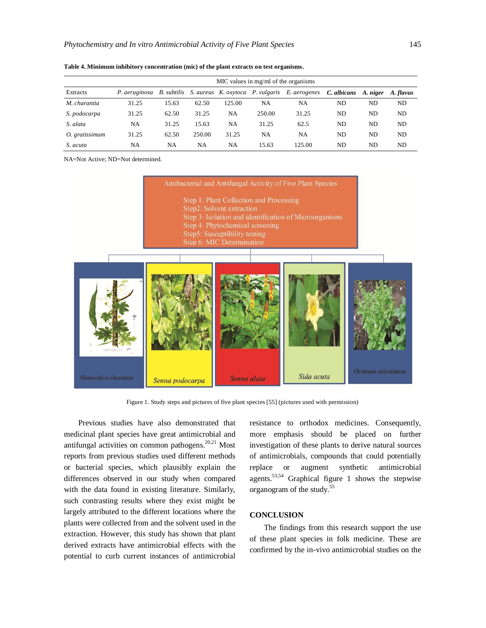|                | MIC values in mg/ml of the organisms |       |        |        |                                              |              |             |     |                    |
|----------------|--------------------------------------|-------|--------|--------|----------------------------------------------|--------------|-------------|-----|--------------------|
| Extracts       | P. aeruginosa                        |       |        |        | B. subtilis S. aureus K. oxytoca P. vulgaris | E. aerogenes | C. albicans |     | A. niger A. flavus |
| M. charantia   | 31.25                                | 15.63 | 62.50  | 125.00 | NA                                           | NA           | ND          | ND  | ND                 |
| S. podocarpa   | 31.25                                | 62.50 | 31.25  | NA     | 250.00                                       | 31.25        | ND          | ND  | ND.                |
| S. alata       | NA                                   | 31.25 | 15.63  | NA     | 31.25                                        | 62.5         | ND          | ND. | ND.                |
| O. gratissimum | 31.25                                | 62.50 | 250.00 | 31.25  | NA                                           | NA           | ND          | ND  | ND.                |
| S. acuta       | NA                                   | NA    | NA     | NA     | 15.63                                        | 125.00       | ND          | ND  | ND.                |

**Table 4. Minimum inhibitory concentration (mic) of the plant extracts on test organisms.**

NA=Not Active; ND=Not determined.



Figure 1. Study steps and pictures of five plant species [55] (pictures used with permission)

Previous studies have also demonstrated that medicinal plant species have great antimicrobial and antifungal activities on common pathogens.<sup>20,21</sup> Most reports from previous studies used different methods or bacterial species, which plausibly explain the differences observed in our study when compared with the data found in existing literature. Similarly, such contrasting results where they exist might be largely attributed to the different locations where the plants were collected from and the solvent used in the extraction. However, this study has shown that plant derived extracts have antimicrobial effects with the potential to curb current instances of antimicrobial

resistance to orthodox medicines. Consequently, more emphasis should be placed on further investigation of these plants to derive natural sources of antimicrobials, compounds that could potentially replace or augment synthetic antimicrobial agents.<sup>53,54</sup> Graphical figure 1 shows the stepwise organogram of the study.<sup>55</sup>

### **CONCLUSION**

The findings from this research support the use of these plant species in folk medicine. These are confirmed by the in-vivo antimicrobial studies on the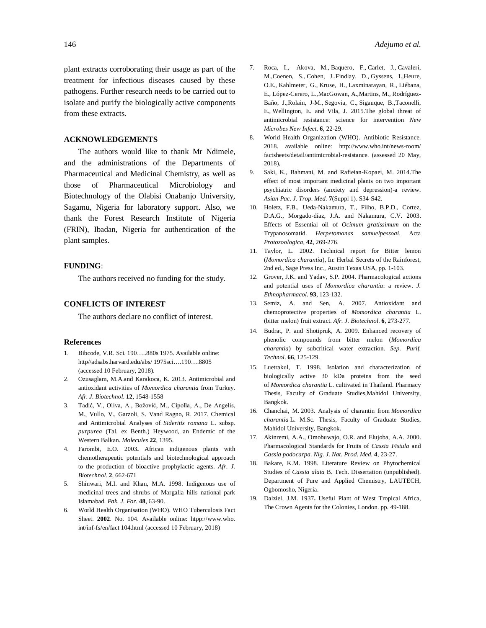plant extracts corroborating their usage as part of the treatment for infectious diseases caused by these pathogens. Further research needs to be carried out to isolate and purify the biologically active components from these extracts.

#### **ACKNOWLEDGEMENTS**

The authors would like to thank Mr Ndimele, and the administrations of the Departments of Pharmaceutical and Medicinal Chemistry, as well as those of Pharmaceutical Microbiology and Biotechnology of the Olabisi Onabanjo University, Sagamu, Nigeria for laboratory support. Also, we thank the Forest Research Institute of Nigeria (FRIN), Ibadan, Nigeria for authentication of the plant samples.

### **FUNDING**:

The authors received no funding for the study.

#### **CONFLICTS OF INTEREST**

The authors declare no conflict of interest.

#### **References**

- 1. Bibcode, V.R. Sci. 190…..880s 1975. Available online: http//adsabs.harvard.edu/abs/ 1975sci….190….8805 (accessed 10 February, 2018).
- 2. Ozusaglam, M.A.and Karakoca, K. 2013. Antimicrobial and antioxidant activities of *Momordica charantia* from Turkey. *Afr. J. Biotechnol*. **12***,* 1548-1558
- 3. Tadić, V., Oliva, A., Božović, M., Cipolla, A., De Angelis, M., Vullo, V., Garzoli, S. Vand Ragno, R. 2017. Chemical and Antimicrobial Analyses of *Sideritis romana* L. subsp. *purpurea* (Tal. ex Benth.) Heywood, an Endemic of the Western Balkan. *Molecules* **22**, 1395.
- 4. Farombi, E.O. 2003**.** African indigenous plants with chemotherapeutic potentials and biotechnological approach to the production of bioactive prophylactic agents. *Afr. J. Biotechnol.* **2**, 662-671
- 5. Shinwari, M.I. and Khan, M.A. 1998. Indigenous use of medicinal trees and shrubs of Margalla hills national park Islamabad. *Pak. J. For.* **48***,* 63-90.
- 6. World Health Organisation (WHO). WHO Tuberculosis Fact Sheet. **2002**. No. 104. Available online: htpp://[www.who.](http://www.who.) int/inf-fs/en/fact 104.html (accessed 10 February, 2018)
- 7. Roca, I., Akova, M., Baquero, F., Carlet, J., Cavaleri, M.,Coenen, S., Cohen, J.,Findlay, D., Gyssens, I.,Heure, O.E., Kahlmeter, G., Kruse, H., Laxminarayan, R., Liébana, E., López-Cerero, L.,MacGowan, A.,Martins, M., Rodríguez-Baño, J.,Rolain, J-M., Segovia, C., Sigauque, B.,Taconelli, E., Wellington, E. and Vila, J. 2015.The global threat of antimicrobial resistance: science for intervention *New Microbes New Infect.* **6**, 22-29.
- 8. World Health Organization (WHO). Antibiotic Resistance. 2018. available online: <http://www.who.int/news-room/> factsheets/detail/antimicrobial-resistance. (assessed 20 May, 2018),
- 9. Saki, K., Bahmani, M. and Rafieian-Kopaei, M. 2014.The effect of most important medicinal plants on two important psychiatric disorders (anxiety and depression)-a review. *Asian Pac. J. Trop. Med.* **7**(Suppl 1). S34-S42.
- 10. Holetz, F.B., Ueda-Nakamura, T., Filho, B.P.D., Cortez, D.A.G., Morgado-díaz, J.A. and Nakamura, C.V. 2003. Effects of Essential oil of *Ocimum gratissimum* on the Trypanosomatid. *Herpetomonas samuelpessoai*. Acta *Protozoologica*, **42**, 269-276.
- 11. Taylor, L. 2002. Technical report for Bitter lemon (*Momordica charantia*), In: Herbal Secrets of the Rainforest, 2nd ed., Sage Press Inc., Austin Texas USA, pp. 1-103.
- 12. Grover, J.K. and Yadav, S.P. 2004. Pharmacological actions and potential uses of *Momordica charantia*: a review. *J. Ethnopharmacol*. **93**, 123-132.
- 13. Semiz, A. and Sen, A. 2007. Antioxidant and chemoprotective properties of *Momordica charantia* L. (bitter melon) fruit extract. *Afr. J. Biotechnol*. **6***,* 273-277.
- 14. Budrat, P. and Shotipruk, A. 2009. Enhanced recovery of phenolic compounds from bitter melon (*Momordica charantia*) by subcritical water extraction. *Sep. Purif. Technol*. **66***,* 125-129.
- 15. Luetrakul, T. 1998. Isolation and characterization of biologically active 30 kDa proteins from the seed of *Momordica charantia* L. cultivated in Thailand. Pharmacy Thesis, Faculty of Graduate Studies,Mahidol University, Bangkok.
- 16. Chanchai, M. 2003. Analysis of charantin from *Momordica charantia* L. M.Sc. Thesis, Faculty of Graduate Studies, Mahidol University, Bangkok.
- 17. Akinremi, A.A., Omobuwajo, O.R. and Elujoba, A.A. 2000. Pharmacological Standards for Fruits of *Cassia Fistula* and *Cassia podocarpa. Nig. J. Nat. Prod. Med.* **4***,* 23-27.
- 18. Bakare, K.M. 1998. Literature Review on Phytochemical Studies of *Cassia alata* B. Tech. Dissertation (unpublished). Department of Pure and Applied Chemistry, LAUTECH, Ogbomosho, Nigeria.
- 19. Dalziel, J.M. 1937**.** Useful Plant of West Tropical Africa, The Crown Agents for the Colonies, London. pp. 49-188.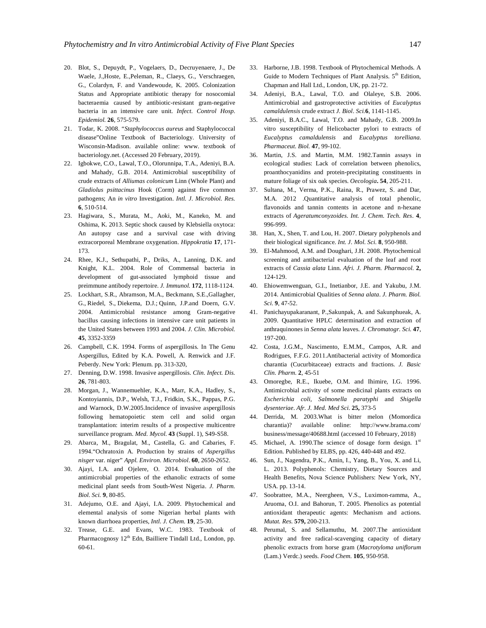- 20. Blot, S., Depuydt, P., Vogelaers, D., Decruyenaere, J., De Waele, J.,Hoste, E.,Peleman, R., Claeys, G., Verschraegen, G., Colardyn, F. and Vandewoude, K. 2005. Colonization Status and Appropriate antibiotic therapy for nosocomial bacteraemia caused by antibiotic-resistant gram-negative bacteria in an intensive care unit. *Infect. Control Hosp. Epidemiol.* **26**, 575-579.
- 21. Todar, K. 2008. "*Staphylococcus aureus* and Staphylococcal disease"Online Textbook of Bacteriology. University of Wisconsin-Madison. available online: www. textbook of bacteriology.net. (Accessed 20 February, 2019).
- 22. Igbokwe, C.O., Lawal, T.O., Olorunnipa, T.A., Adeniyi, B.A. and Mahady, G.B. 2014. Antimicrobial susceptibility of crude extracts of *Alliumas colonicum* Linn (Whole Plant) and *Gladiolus psittacinus* Hook (Corm) against five common pathogens; An *in vitro* Investigation. *Intl. J. Microbiol. Res.* **6**, 510-514.
- 23. Hagiwara, S., Murata, M., Aoki, M., Kaneko, M. and Oshima, K. 2013. Septic shock caused by Klebsiella oxytoca: An autopsy case and a survival case with driving extracorporeal Membrane oxygenation. *Hippokratia* **17**, 171- 173.
- 24. Rhee, K.J., Sethupathi, P., Driks, A., Lanning, D.K. and Knight, K.L. 2004. Role of Commensal bacteria in development of gut-associated lymphoid tissue and preimmune antibody repertoire. *J. Immunol.* **172**, 1118-1124.
- 25. Lockhart, S.R., Abramson, M.A., Beckmann, S.E.,Gallagher, G., Riedel, S., Diekema, D.J.; Quinn, J.P.and Doern, G.V. 2004. Antimicrobial resistance among Gram-negative bacillus causing infections in intensive care unit patients in the United States between 1993 and 2004. *J. Clin. Microbiol.* **45**, 3352-3359
- 26. Campbell, C.K. 1994. Forms of aspergillosis. In The Genu Aspergillus, Edited by K.A. Powell, A. Renwick and J.F. Peberdy. New York: Plenum. pp. 313-320,
- 27. Denning, D.W. 1998. Invasive aspergillosis. *Clin. Infect. Dis.* **26**, 781-803.
- 28. Morgan, J., Wannemuehler, K.A., Marr, K.A., Hadley, S., Kontoyiannis, D.P., Welsh, T.J., Fridkin, S.K., Pappas, P.G. and Warnock, D.W.2005.Incidence of invasive aspergillosis following hematopoietic stem cell and solid organ transplantation: interim results of a prospective multicentre surveillance program. *Med. Mycol.* **43** (Suppl. 1), S49-S58.
- 29. Abarca, M., Bragulat, M., Castella, G. and Cabaries, F. 1994."Ochratoxin A. Production by strains of *Aspergillus nisger* var. niger" *Appl. Environ. Microbiol*. **60**, 2650-2652.
- 30. Ajayi, I.A. and Ojelere, O. 2014. Evaluation of the antimicrobial properties of the ethanolic extracts of some medicinal plant seeds from South-West Nigeria. *J. Pharm. Biol. Sci.* **9**, 80-85.
- 31. Adejumo, O.E. and Ajayi, I.A. 2009. Phytochemical and elemental analysis of some Nigerian herbal plants with known diarrhoea properties, *Intl. J. Chem.* **19***,* 25-30.
- 32. Trease, G.E. and Evans, W.C. 1983. Textbook of Pharmacognosy 12<sup>th</sup> Edn, Bailliere Tindall Ltd., London, pp. 60-61.
- 33. Harborne, J.B. 1998. Textbook of Phytochemical Methods. A Guide to Modern Techniques of Plant Analysis. 5<sup>th</sup> Edition, Chapman and Hall Ltd., London, UK, pp. 21-72.
- 34. Adeniyi, B.A., Lawal, T.O. and Olaleye, S.B. 2006. Antimicrobial and gastroprotective activities of *Eucalyptus camaldulensis* crude extract *J. Biol. Sci.***6**, 1141-1145.
- 35. Adeniyi, B.A.C., Lawal, T.O. and Mahady, G.B. 2009.In vitro susceptibility of Helicobacter pylori to extracts of *Eucalyptus camaldulensis* and *Eucalyptus torelliana. Pharmaceut. Biol.* **47**, 99-102.
- 36. Martin, J.S. and Martin, M.M. 1982.Tannin assays in ecological studies: Lack of correlation between phenolics, proanthocyanidins and protein-precipitating constituents in mature foliage of six oak species. *Oecologia***. 54**, 205-211.
- 37. Sultana, M., Verma, P.K., Raina, R., Prawez, S. and Dar, M.A. 2012 .Quantitative analysis of total phenolic, flavonoids and tannin contents in acetone and n-hexane extracts of *Ageratumconyzoides*. *Int. J. Chem. Tech. Res.* **4**, 996-999.
- 38. Han, X., Shen, T. and Lou, H. 2007. Dietary polyphenols and their biological significance. *Int. J. Mol. Sci*. **8**, 950-988.
- 39. El-Mahmood, A.M. and Doughari, J.H. 2008. Phytochemical screening and antibacterial evaluation of the leaf and root extracts of *Cassia alata* Linn. *Afri. J. Pharm. Pharmacol.* **2,** 124-129.
- 40. Ehiowemwenguan, G.I., Inetianbor, J.E. and Yakubu, J.M. 2014. Antimicrobial Qualities of *Senna alata*. *J. Pharm. Biol. Sci*. **9**, 47-52.
- 41. Panichayupakaranant, P.,Sakunpak, A. and Sakunphueak, A. 2009. Quantitative HPLC determination and extraction of anthraquinones in *Senna alata* leaves. *J. Chromatogr. Sci.* **47**, 197-200.
- 42. Costa, J.G.M., Nascimento, E.M.M., Campos, A.R. and Rodrigues, F.F.G. 2011.Antibacterial activity of Momordica charantia (Cucurbitaceae) extracts and fractions. *J. Basic Clin. Pharm.* **2**, 45-51
- 43. Omoregbe, R.E., Ikuebe, O.M. and Ihimire, I.G. 1996. Antimicrobial activity of some medicinal plants extracts on *Escherichia coli, Salmonella paratyphi* and *Shigella dysenteriae*. *Afr. J. Med. Med Sci.* **25,** 373-5
- 44. Derrida, M. 2003.What is bitter melon (Momordica charantia)? available online: <http://www.brama.com/> business/message/40688.html (accessed 10 February, 2018)
- 45. Michael, A. 1990. The science of dosage form design. 1st Edition. Published by ELBS, pp. 426, 440-448 and 492.
- 46. Sun, J., Nagendra, P.K., Amin, I., Yang, B., You, X. and Li, L. 2013. Polyphenols: Chemistry, Dietary Sources and Health Benefits, Nova Science Publishers: New York, NY, USA. pp. 13-14.
- 47. Soobrattee, M.A., Neergheen, V.S., Luximon-ramma, A., Aruoma, O.I. and Bahorun, T. 2005. Phenolics as potential antioxidant therapeutic agents: Mechanism and actions. *Mutat. Res.* **579,** 200-213.
- 48. Perumal, S. and Sellamuthu, M. 2007.The antioxidant activity and free radical-scavenging capacity of dietary phenolic extracts from horse gram (*Macrotyloma uniflorum*  (Lam.) Verdc.) seeds. *Food Chem.* **105**, 950-958.